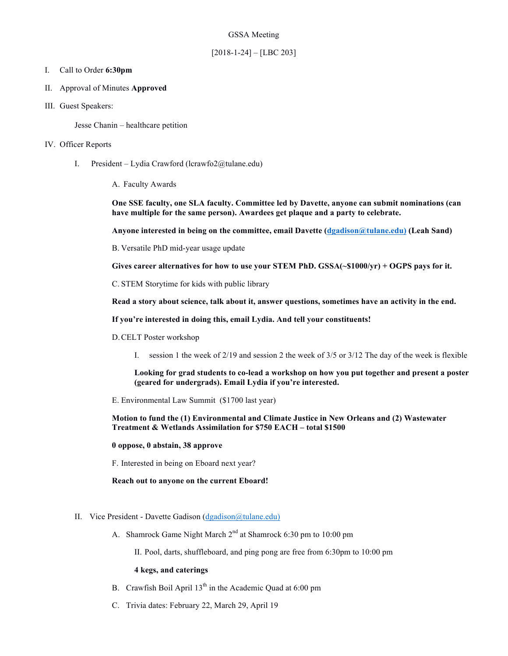# GSSA Meeting

# [2018-1-24] – [LBC 203]

### I. Call to Order **6:30pm**

- II. Approval of Minutes **Approved**
- III. Guest Speakers:

Jesse Chanin – healthcare petition

### IV. Officer Reports

- I. President Lydia Crawford (lcrawfo2@tulane.edu)
	- A. Faculty Awards

**One SSE faculty, one SLA faculty. Committee led by Davette, anyone can submit nominations (can have multiple for the same person). Awardees get plaque and a party to celebrate.**

**Anyone interested in being on the committee, email Davette (dgadison@tulane.edu) (Leah Sand)**

B. Versatile PhD mid-year usage update

**Gives career alternatives for how to use your STEM PhD. GSSA(~\$1000/yr) + OGPS pays for it.** 

C. STEM Storytime for kids with public library

**Read a story about science, talk about it, answer questions, sometimes have an activity in the end.**

**If you're interested in doing this, email Lydia. And tell your constituents!**

- D.CELT Poster workshop
	- I. session 1 the week of 2/19 and session 2 the week of 3/5 or 3/12 The day of the week is flexible

**Looking for grad students to co-lead a workshop on how you put together and present a poster (geared for undergrads). Email Lydia if you're interested.**

E. Environmental Law Summit (\$1700 last year)

**Motion to fund the (1) Environmental and Climate Justice in New Orleans and (2) Wastewater Treatment & Wetlands Assimilation for \$750 EACH – total \$1500**

#### **0 oppose, 0 abstain, 38 approve**

F. Interested in being on Eboard next year?

#### **Reach out to anyone on the current Eboard!**

# II. Vice President - Davette Gadison (dgadison@tulane.edu)

A. Shamrock Game Night March 2<sup>nd</sup> at Shamrock 6:30 pm to 10:00 pm

II. Pool, darts, shuffleboard, and ping pong are free from 6:30pm to 10:00 pm

## **4 kegs, and caterings**

- B. Crawfish Boil April  $13<sup>th</sup>$  in the Academic Quad at 6:00 pm
- C. Trivia dates: February 22, March 29, April 19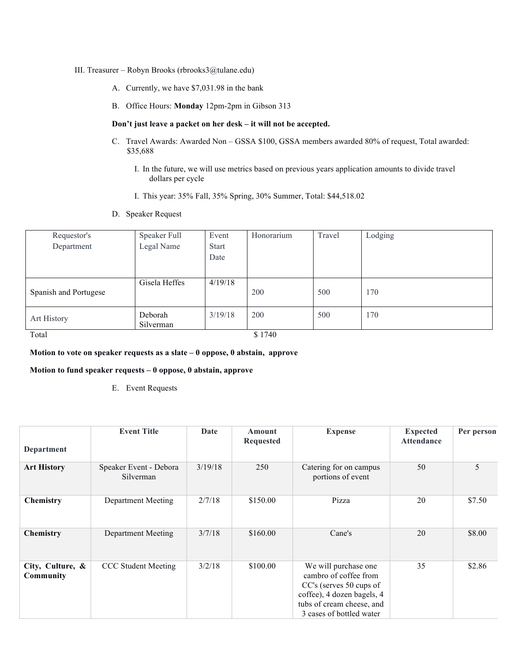#### III. Treasurer – Robyn Brooks (rbrooks3@tulane.edu)

- A. Currently, we have \$7,031.98 in the bank
- B. Office Hours: **Monday** 12pm-2pm in Gibson 313

#### **Don't just leave a packet on her desk – it will not be accepted.**

- C. Travel Awards: Awarded Non GSSA \$100, GSSA members awarded 80% of request, Total awarded: \$35,688
	- I. In the future, we will use metrics based on previous years application amounts to divide travel dollars per cycle
	- I. This year: 35% Fall, 35% Spring, 30% Summer, Total: \$44,518.02
- D. Speaker Request

| Requestor's           | Speaker Full  | Event        | Honorarium | Travel | Lodging |
|-----------------------|---------------|--------------|------------|--------|---------|
| Department            | Legal Name    | <b>Start</b> |            |        |         |
|                       |               | Date         |            |        |         |
|                       |               |              |            |        |         |
|                       | Gisela Heffes | 4/19/18      |            |        |         |
| Spanish and Portugese |               |              | 200        | 500    | 170     |
|                       |               |              |            |        |         |
| Art History           | Deborah       | 3/19/18      | 200        | 500    | 170     |
|                       | Silverman     |              |            |        |         |
| Total                 |               |              | \$1740     |        |         |

#### **Motion to vote on speaker requests as a slate – 0 oppose, 0 abstain, approve**

## **Motion to fund speaker requests – 0 oppose, 0 abstain, approve**

E. Event Requests

|                               | <b>Event Title</b>                  | Date    | Amount<br><b>Requested</b> | <b>Expense</b>                                                                                                                                                  | <b>Expected</b><br><b>Attendance</b> | Per person |
|-------------------------------|-------------------------------------|---------|----------------------------|-----------------------------------------------------------------------------------------------------------------------------------------------------------------|--------------------------------------|------------|
| Department                    |                                     |         |                            |                                                                                                                                                                 |                                      |            |
| <b>Art History</b>            | Speaker Event - Debora<br>Silverman | 3/19/18 | 250                        | Catering for on campus<br>portions of event                                                                                                                     | 50                                   | 5          |
| Chemistry                     | Department Meeting                  | 2/7/18  | \$150.00                   | Pizza                                                                                                                                                           | 20                                   | \$7.50     |
| <b>Chemistry</b>              | Department Meeting                  | 3/7/18  | \$160.00                   | Cane's                                                                                                                                                          | 20                                   | \$8.00     |
| City, Culture, &<br>Community | <b>CCC</b> Student Meeting          | 3/2/18  | \$100.00                   | We will purchase one<br>cambro of coffee from<br>CC's (serves 50 cups of<br>coffee), 4 dozen bagels, 4<br>tubs of cream cheese, and<br>3 cases of bottled water | 35                                   | \$2.86     |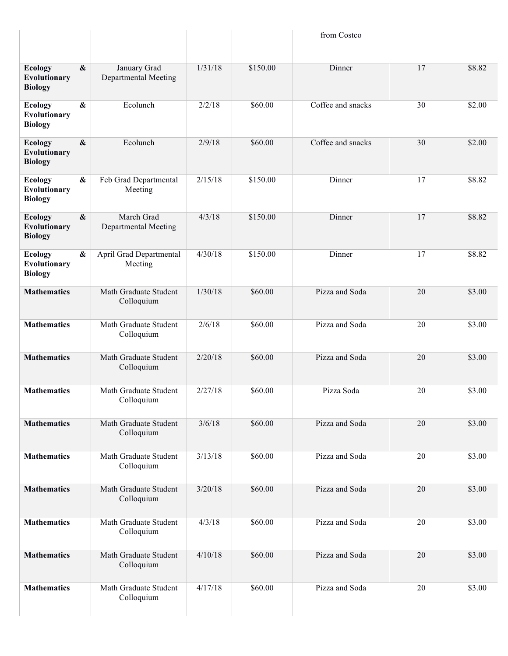|                                                  |                   |                                           |         |          | from Costco       |    |        |
|--------------------------------------------------|-------------------|-------------------------------------------|---------|----------|-------------------|----|--------|
| <b>Ecology</b><br>Evolutionary<br><b>Biology</b> | $\boldsymbol{\&}$ | January Grad<br>Departmental Meeting      | 1/31/18 | \$150.00 | Dinner            | 17 | \$8.82 |
| <b>Ecology</b><br>Evolutionary<br><b>Biology</b> | $\boldsymbol{\&}$ | Ecolunch                                  | 2/2/18  | \$60.00  | Coffee and snacks | 30 | \$2.00 |
| <b>Ecology</b><br>Evolutionary<br><b>Biology</b> | $\boldsymbol{\&}$ | Ecolunch                                  | 2/9/18  | \$60.00  | Coffee and snacks | 30 | \$2.00 |
| <b>Ecology</b><br>Evolutionary<br><b>Biology</b> | $\boldsymbol{\&}$ | Feb Grad Departmental<br>Meeting          | 2/15/18 | \$150.00 | Dinner            | 17 | \$8.82 |
| <b>Ecology</b><br>Evolutionary<br><b>Biology</b> | $\boldsymbol{\&}$ | March Grad<br><b>Departmental Meeting</b> | 4/3/18  | \$150.00 | Dinner            | 17 | \$8.82 |
| <b>Ecology</b><br>Evolutionary<br><b>Biology</b> | $\boldsymbol{\&}$ | April Grad Departmental<br>Meeting        | 4/30/18 | \$150.00 | Dinner            | 17 | \$8.82 |
| <b>Mathematics</b>                               |                   | Math Graduate Student<br>Colloquium       | 1/30/18 | \$60.00  | Pizza and Soda    | 20 | \$3.00 |
| <b>Mathematics</b>                               |                   | Math Graduate Student<br>Colloquium       | 2/6/18  | \$60.00  | Pizza and Soda    | 20 | \$3.00 |
| <b>Mathematics</b>                               |                   | Math Graduate Student<br>Colloquium       | 2/20/18 | \$60.00  | Pizza and Soda    | 20 | \$3.00 |
| <b>Mathematics</b>                               |                   | Math Graduate Student<br>Colloquium       | 2/27/18 | \$60.00  | Pizza Soda        | 20 | \$3.00 |
| <b>Mathematics</b>                               |                   | Math Graduate Student<br>Colloquium       | 3/6/18  | \$60.00  | Pizza and Soda    | 20 | \$3.00 |
| <b>Mathematics</b>                               |                   | Math Graduate Student<br>Colloquium       | 3/13/18 | \$60.00  | Pizza and Soda    | 20 | \$3.00 |
| <b>Mathematics</b>                               |                   | Math Graduate Student<br>Colloquium       | 3/20/18 | \$60.00  | Pizza and Soda    | 20 | \$3.00 |
| <b>Mathematics</b>                               |                   | Math Graduate Student<br>Colloquium       | 4/3/18  | \$60.00  | Pizza and Soda    | 20 | \$3.00 |
| <b>Mathematics</b>                               |                   | Math Graduate Student<br>Colloquium       | 4/10/18 | \$60.00  | Pizza and Soda    | 20 | \$3.00 |
| <b>Mathematics</b>                               |                   | Math Graduate Student<br>Colloquium       | 4/17/18 | \$60.00  | Pizza and Soda    | 20 | \$3.00 |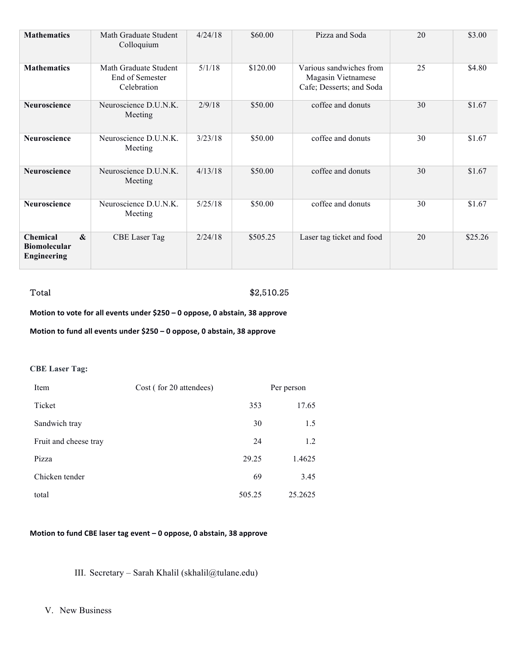| <b>Mathematics</b>                                                     | Math Graduate Student<br>Colloquium                     | 4/24/18 | \$60.00  | Pizza and Soda                                                            | 20 | \$3.00  |
|------------------------------------------------------------------------|---------------------------------------------------------|---------|----------|---------------------------------------------------------------------------|----|---------|
| <b>Mathematics</b>                                                     | Math Graduate Student<br>End of Semester<br>Celebration | 5/1/18  | \$120.00 | Various sandwiches from<br>Magasin Vietnamese<br>Cafe; Desserts; and Soda | 25 | \$4.80  |
| <b>Neuroscience</b>                                                    | Neuroscience D.U.N.K.<br>Meeting                        | 2/9/18  | \$50.00  | coffee and donuts                                                         | 30 | \$1.67  |
| Neuroscience                                                           | Neuroscience D.U.N.K.<br>Meeting                        | 3/23/18 | \$50.00  | coffee and donuts                                                         | 30 | \$1.67  |
| Neuroscience                                                           | Neuroscience D.U.N.K.<br>Meeting                        | 4/13/18 | \$50.00  | coffee and donuts                                                         | 30 | \$1.67  |
| Neuroscience                                                           | Neuroscience D.U.N.K.<br>Meeting                        | 5/25/18 | \$50.00  | coffee and donuts                                                         | 30 | \$1.67  |
| Chemical<br>$\mathbf{\&}$<br><b>Biomolecular</b><br><b>Engineering</b> | <b>CBE</b> Laser Tag                                    | 2/24/18 | \$505.25 | Laser tag ticket and food                                                 | 20 | \$25.26 |

# Total \$2,510.25

**Motion to vote for all events under \$250 – 0 oppose, 0 abstain, 38 approve** 

**Motion to fund all events under \$250 – 0 oppose, 0 abstain, 38 approve** 

# **CBE Laser Tag:**

| Item                  | Cost (for 20 attendees) | Per person |  |
|-----------------------|-------------------------|------------|--|
| Ticket                | 353                     | 17.65      |  |
| Sandwich tray         | 30                      | 1.5        |  |
| Fruit and cheese tray | 24                      | 1.2        |  |
| Pizza                 | 29.25                   | 1.4625     |  |
| Chicken tender        | 69                      | 3.45       |  |
| total                 | 505.25                  | 25.2625    |  |

# **Motion to fund CBE laser tag event - 0 oppose, 0 abstain, 38 approve**

III. Secretary – Sarah Khalil (skhalil@tulane.edu)